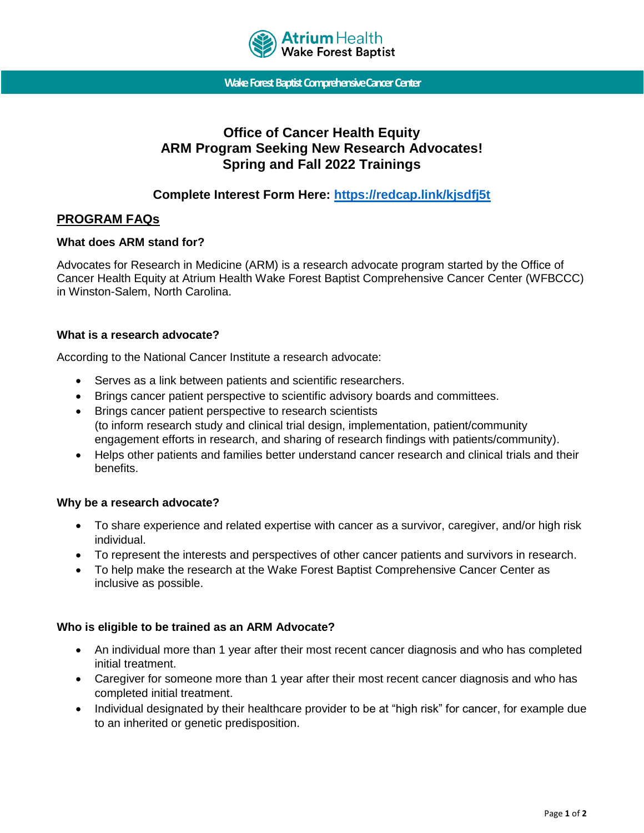

**WakeForest Baptist Comprehensive Cancer Center**

# **Office of Cancer Health Equity ARM Program Seeking New Research Advocates! Spring and Fall 2022 Trainings**

# **Complete Interest Form Here:<https://redcap.link/kjsdfj5t>**

# **PROGRAM FAQs**

#### **What does ARM stand for?**

Advocates for Research in Medicine (ARM) is a research advocate program started by the Office of Cancer Health Equity at Atrium Health Wake Forest Baptist Comprehensive Cancer Center (WFBCCC) in Winston-Salem, North Carolina.

#### **What is a research advocate?**

According to the National Cancer Institute a research advocate:

- Serves as a link between patients and scientific researchers.
- Brings cancer patient perspective to scientific advisory boards and committees.
- Brings cancer patient perspective to research scientists (to inform research study and clinical trial design, implementation, patient/community engagement efforts in research, and sharing of research findings with patients/community).
- Helps other patients and families better understand cancer research and clinical trials and their benefits.

# **Why be a research advocate?**

- To share experience and related expertise with cancer as a survivor, caregiver, and/or high risk individual.
- To represent the interests and perspectives of other cancer patients and survivors in research.
- To help make the research at the Wake Forest Baptist Comprehensive Cancer Center as inclusive as possible.

# **Who is eligible to be trained as an ARM Advocate?**

- An individual more than 1 year after their most recent cancer diagnosis and who has completed initial treatment.
- Caregiver for someone more than 1 year after their most recent cancer diagnosis and who has completed initial treatment.
- Individual designated by their healthcare provider to be at "high risk" for cancer, for example due to an inherited or genetic predisposition.